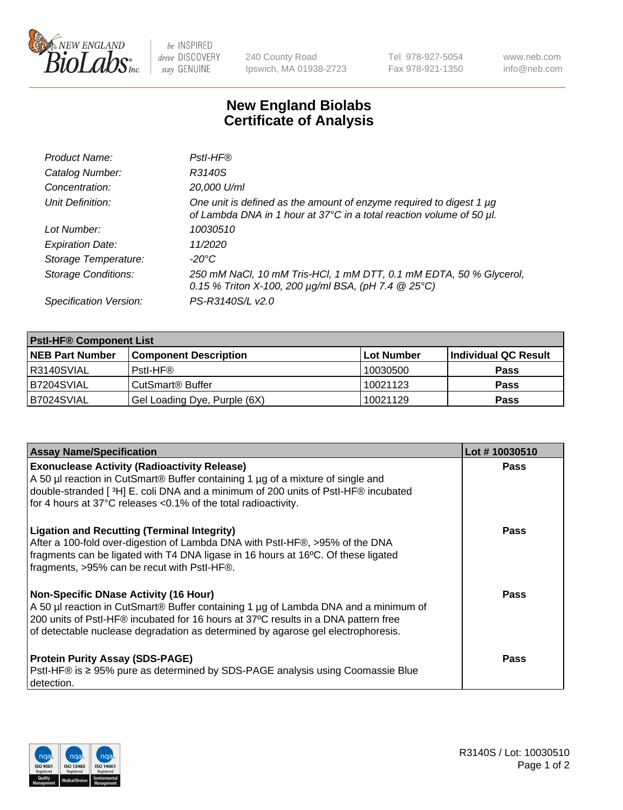

 $be$  INSPIRED drive DISCOVERY stay GENUINE

240 County Road Ipswich, MA 01938-2723 Tel 978-927-5054 Fax 978-921-1350 www.neb.com info@neb.com

## **New England Biolabs Certificate of Analysis**

| Product Name:              | Pstl-HF®                                                                                                                                             |
|----------------------------|------------------------------------------------------------------------------------------------------------------------------------------------------|
| Catalog Number:            | R3140S                                                                                                                                               |
| Concentration:             | 20,000 U/ml                                                                                                                                          |
| Unit Definition:           | One unit is defined as the amount of enzyme required to digest 1 µg<br>of Lambda DNA in 1 hour at 37°C in a total reaction volume of 50 µl.          |
| Lot Number:                | 10030510                                                                                                                                             |
| <b>Expiration Date:</b>    | 11/2020                                                                                                                                              |
| Storage Temperature:       | -20°C                                                                                                                                                |
| <b>Storage Conditions:</b> | 250 mM NaCl, 10 mM Tris-HCl, 1 mM DTT, 0.1 mM EDTA, 50 % Glycerol,<br>0.15 % Triton X-100, 200 $\mu$ g/ml BSA, (pH 7.4 $\textcircled{25}^{\circ}$ C) |
| Specification Version:     | PS-R3140S/L v2.0                                                                                                                                     |

| <b>Pstl-HF® Component List</b> |                              |            |                      |  |
|--------------------------------|------------------------------|------------|----------------------|--|
| <b>NEB Part Number</b>         | <b>Component Description</b> | Lot Number | Individual QC Result |  |
| R3140SVIAL                     | Pstl-HF®                     | 10030500   | <b>Pass</b>          |  |
| B7204SVIAL                     | CutSmart <sup>®</sup> Buffer | 10021123   | <b>Pass</b>          |  |
| B7024SVIAL                     | Gel Loading Dye, Purple (6X) | 10021129   | <b>Pass</b>          |  |

| <b>Assay Name/Specification</b>                                                                                                                                                                                                                                                                               | Lot #10030510 |
|---------------------------------------------------------------------------------------------------------------------------------------------------------------------------------------------------------------------------------------------------------------------------------------------------------------|---------------|
| <b>Exonuclease Activity (Radioactivity Release)</b><br>A 50 µl reaction in CutSmart® Buffer containing 1 µg of a mixture of single and<br>double-stranded [3H] E. coli DNA and a minimum of 200 units of PstI-HF® incubated                                                                                   | <b>Pass</b>   |
| for 4 hours at 37°C releases <0.1% of the total radioactivity.                                                                                                                                                                                                                                                |               |
| <b>Ligation and Recutting (Terminal Integrity)</b><br>After a 100-fold over-digestion of Lambda DNA with PstI-HF®, >95% of the DNA<br>fragments can be ligated with T4 DNA ligase in 16 hours at 16°C. Of these ligated<br>fragments, >95% can be recut with PstI-HF®.                                        | Pass          |
| <b>Non-Specific DNase Activity (16 Hour)</b><br>A 50 µl reaction in CutSmart® Buffer containing 1 µg of Lambda DNA and a minimum of<br>200 units of PstI-HF® incubated for 16 hours at 37°C results in a DNA pattern free<br>of detectable nuclease degradation as determined by agarose gel electrophoresis. | Pass          |
| <b>Protein Purity Assay (SDS-PAGE)</b><br>PstI-HF® is ≥ 95% pure as determined by SDS-PAGE analysis using Coomassie Blue<br>I detection.                                                                                                                                                                      | Pass          |